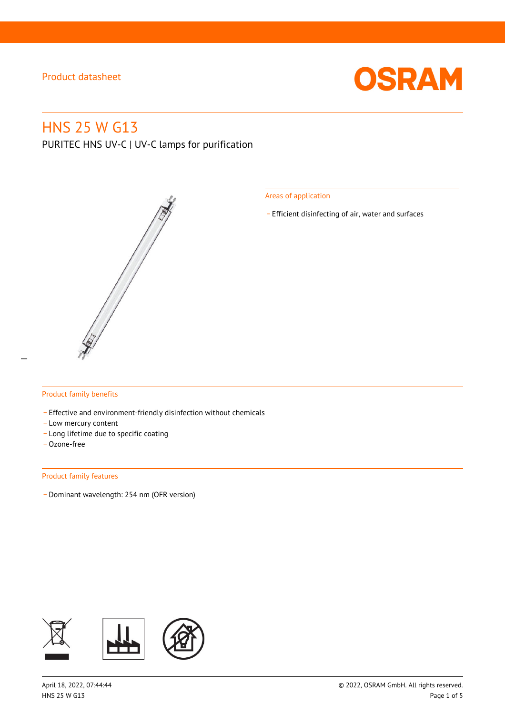

## HNS 25 W G13

PURITEC HNS UV-C | UV-C lamps for purification



Areas of application

\_ Efficient disinfecting of air, water and surfaces

### Product family benefits

- Effective and environment-friendly disinfection without chemicals
- Low mercury content
- \_ Long lifetime due to specific coating
- \_ Ozone-free

#### Product family features

\_ Dominant wavelength: 254 nm (OFR version)

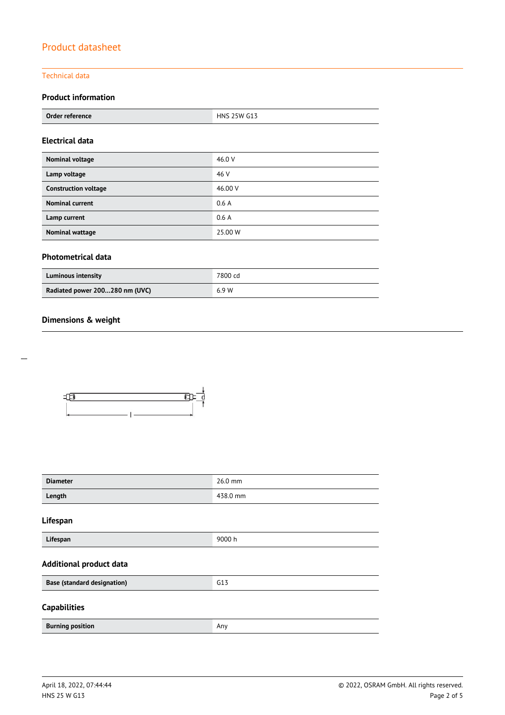### Technical data

### **Product information**

| Order reference | 25W G13<br><b>HNS 25</b> |  |
|-----------------|--------------------------|--|
|                 |                          |  |

### **Electrical data**

| Nominal voltage             | 46.0 V  |
|-----------------------------|---------|
| Lamp voltage                | 46 V    |
| <b>Construction voltage</b> | 46.00 V |
| <b>Nominal current</b>      | 0.6A    |
| Lamp current                | 0.6A    |
| <b>Nominal wattage</b>      | 25,00 W |

### **Photometrical data**

| <b>Luminous intensity</b>      | 7800 cd |
|--------------------------------|---------|
| Radiated power 200280 nm (UVC) | 6.9 W   |

### **Dimensions & weight**



| <b>Diameter</b>                    | 26.0 mm  |
|------------------------------------|----------|
| Length                             | 438.0 mm |
| Lifespan                           |          |
| Lifespan                           | 9000 h   |
| <b>Additional product data</b>     |          |
| <b>Base (standard designation)</b> | G13      |
| <b>Capabilities</b>                |          |
| <b>Burning position</b>            | Any      |

 $\overline{a}$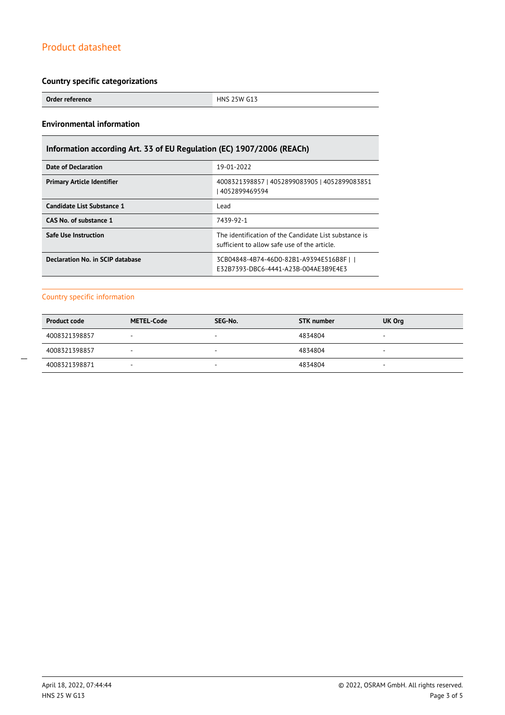### **Country specific categorizations**

**Order reference HNS 25W G13** 

### **Environmental information**

### **Information according Art. 33 of EU Regulation (EC) 1907/2006 (REACh)**

| Date of Declaration               | 19-01-2022                                                                                            |  |
|-----------------------------------|-------------------------------------------------------------------------------------------------------|--|
| <b>Primary Article Identifier</b> | 4008321398857   4052899083905   4052899083851<br>  4052899469594                                      |  |
| Candidate List Substance 1        | Lead                                                                                                  |  |
| CAS No. of substance 1            | 7439-92-1                                                                                             |  |
| <b>Safe Use Instruction</b>       | The identification of the Candidate List substance is<br>sufficient to allow safe use of the article. |  |
| Declaration No. in SCIP database  | 3CB04848-4B74-46D0-82B1-A9394E516B8Fll<br>F32B7393-DBC6-4441-A23B-004AF3B9F4F3                        |  |

### Country specific information

| <b>Product code</b> | <b>METEL-Code</b>        | SEG-No. | <b>STK</b> number | UK Org                   |
|---------------------|--------------------------|---------|-------------------|--------------------------|
| 4008321398857       | -                        | -       | 4834804           | $\overline{\phantom{a}}$ |
| 4008321398857       | $\overline{\phantom{a}}$ | ۰       | 4834804           | $\overline{\phantom{a}}$ |
| 4008321398871       | -                        | -       | 4834804           | -                        |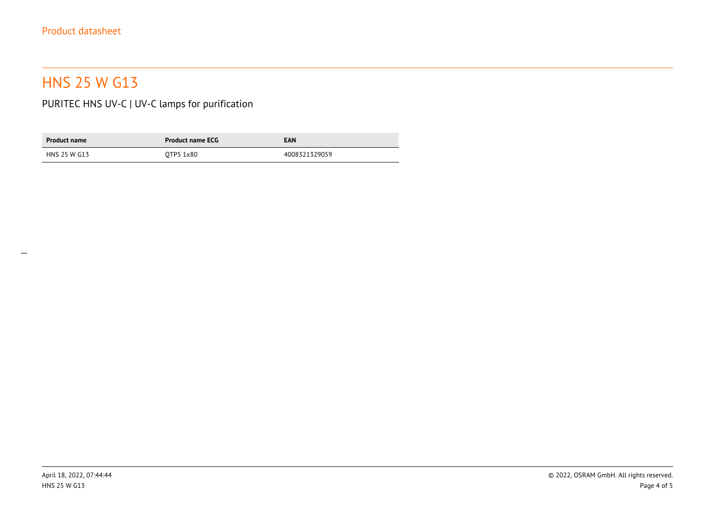# HNS 25 W G13

PURITEC HNS UV-C | UV-C lamps for purification

| <b>Product name</b> | <b>Product name ECG</b> | <b>EAN</b>    |
|---------------------|-------------------------|---------------|
| HNS 25 W G13        | OTP5 1x80               | 4008321329059 |